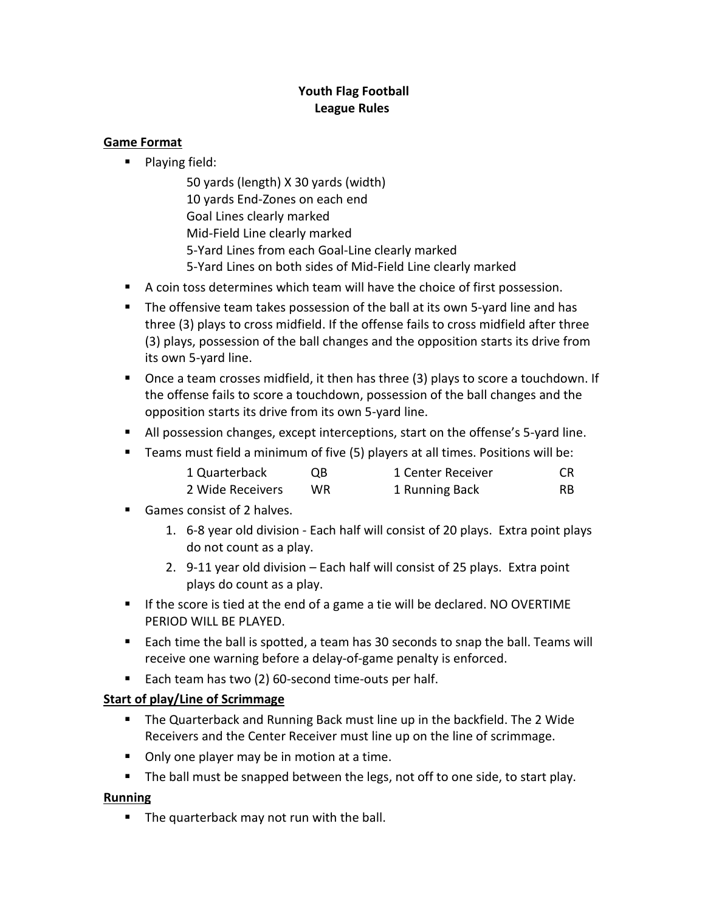## **Youth Flag Football League Rules**

### **Game Format**

**Playing field:** 

50 yards (length) X 30 yards (width) 10 yards End-Zones on each end Goal Lines clearly marked Mid-Field Line clearly marked 5-Yard Lines from each Goal-Line clearly marked 5-Yard Lines on both sides of Mid-Field Line clearly marked

- A coin toss determines which team will have the choice of first possession.
- The offensive team takes possession of the ball at its own 5-yard line and has three (3) plays to cross midfield. If the offense fails to cross midfield after three (3) plays, possession of the ball changes and the opposition starts its drive from its own 5-yard line.
- Once a team crosses midfield, it then has three (3) plays to score a touchdown. If the offense fails to score a touchdown, possession of the ball changes and the opposition starts its drive from its own 5-yard line.
- All possession changes, except interceptions, start on the offense's 5-yard line.
- Teams must field a minimum of five (5) players at all times. Positions will be:

| 1 Quarterback | QB | 1 Center Receiver | -CR |
|---------------|----|-------------------|-----|
|               |    |                   |     |

| 2 Wide Receivers | WR. | 1 Running Back | RB. |
|------------------|-----|----------------|-----|
|------------------|-----|----------------|-----|

- Games consist of 2 halves.
	- 1. 6-8 year old division Each half will consist of 20 plays. Extra point plays do not count as a play.
	- 2. 9-11 year old division Each half will consist of 25 plays. Extra point plays do count as a play.
- If the score is tied at the end of a game a tie will be declared. NO OVERTIME PERIOD WILL BE PLAYED.
- Each time the ball is spotted, a team has 30 seconds to snap the ball. Teams will receive one warning before a delay-of-game penalty is enforced.
- Each team has two (2) 60-second time-outs per half.

# **Start of play/Line of Scrimmage**

- The Quarterback and Running Back must line up in the backfield. The 2 Wide Receivers and the Center Receiver must line up on the line of scrimmage.
- Only one player may be in motion at a time.
- The ball must be snapped between the legs, not off to one side, to start play.

# **Running**

**The quarterback may not run with the ball.**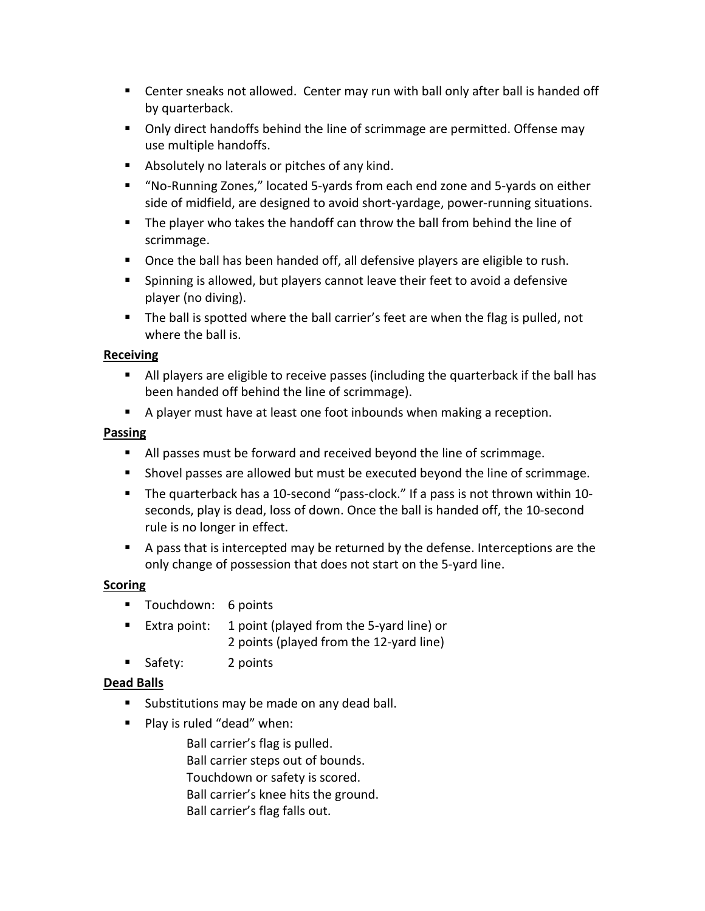- Center sneaks not allowed. Center may run with ball only after ball is handed off by quarterback.
- Only direct handoffs behind the line of scrimmage are permitted. Offense may use multiple handoffs.
- Absolutely no laterals or pitches of any kind.
- "No-Running Zones," located 5-yards from each end zone and 5-yards on either side of midfield, are designed to avoid short-yardage, power-running situations.
- The player who takes the handoff can throw the ball from behind the line of scrimmage.
- Once the ball has been handed off, all defensive players are eligible to rush.
- **Spinning is allowed, but players cannot leave their feet to avoid a defensive** player (no diving).
- The ball is spotted where the ball carrier's feet are when the flag is pulled, not where the ball is.

### **Receiving**

- All players are eligible to receive passes (including the quarterback if the ball has been handed off behind the line of scrimmage).
- A player must have at least one foot inbounds when making a reception.

### **Passing**

- All passes must be forward and received beyond the line of scrimmage.
- **Shovel passes are allowed but must be executed beyond the line of scrimmage.**
- The quarterback has a 10-second "pass-clock." If a pass is not thrown within 10seconds, play is dead, loss of down. Once the ball is handed off, the 10-second rule is no longer in effect.
- A pass that is intercepted may be returned by the defense. Interceptions are the only change of possession that does not start on the 5-yard line.

# **Scoring**

- **Touchdown: 6 points**
- Extra point: 1 point (played from the 5-yard line) or 2 points (played from the 12-yard line)
- Safety: 2 points

# **Dead Balls**

- **Substitutions may be made on any dead ball.**
- **Play is ruled "dead" when:**

Ball carrier's flag is pulled. Ball carrier steps out of bounds. Touchdown or safety is scored. Ball carrier's knee hits the ground. Ball carrier's flag falls out.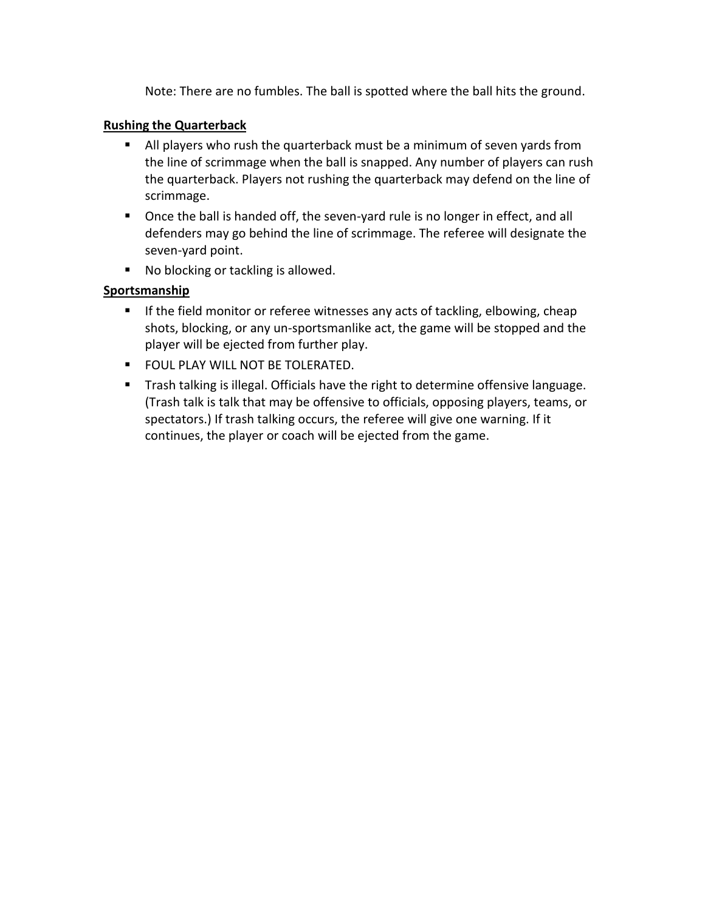Note: There are no fumbles. The ball is spotted where the ball hits the ground.

#### **Rushing the Quarterback**

- All players who rush the quarterback must be a minimum of seven yards from the line of scrimmage when the ball is snapped. Any number of players can rush the quarterback. Players not rushing the quarterback may defend on the line of scrimmage.
- **De Once the ball is handed off, the seven-yard rule is no longer in effect, and all** defenders may go behind the line of scrimmage. The referee will designate the seven-yard point.
- No blocking or tackling is allowed.

### **Sportsmanship**

- **If the field monitor or referee witnesses any acts of tackling, elbowing, cheap** shots, blocking, or any un-sportsmanlike act, the game will be stopped and the player will be ejected from further play.
- **FOUL PLAY WILL NOT BE TOLERATED.**
- **Trash talking is illegal. Officials have the right to determine offensive language.** (Trash talk is talk that may be offensive to officials, opposing players, teams, or spectators.) If trash talking occurs, the referee will give one warning. If it continues, the player or coach will be ejected from the game.